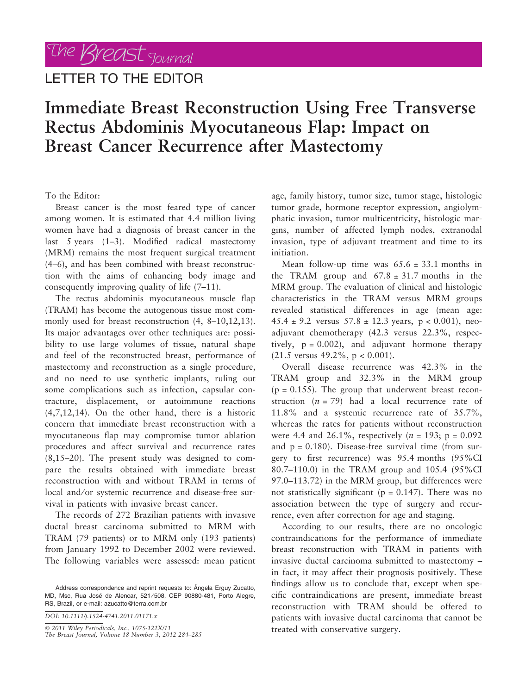## LETTER TO THE EDITOR

## Immediate Breast Reconstruction Using Free Transverse Rectus Abdominis Myocutaneous Flap: Impact on Breast Cancer Recurrence after Mastectomy

To the Editor:

Breast cancer is the most feared type of cancer among women. It is estimated that 4.4 million living women have had a diagnosis of breast cancer in the last 5 years (1–3). Modified radical mastectomy (MRM) remains the most frequent surgical treatment (4–6), and has been combined with breast reconstruction with the aims of enhancing body image and consequently improving quality of life (7–11).

The rectus abdominis myocutaneous muscle flap (TRAM) has become the autogenous tissue most commonly used for breast reconstruction (4, 8–10,12,13). Its major advantages over other techniques are: possibility to use large volumes of tissue, natural shape and feel of the reconstructed breast, performance of mastectomy and reconstruction as a single procedure, and no need to use synthetic implants, ruling out some complications such as infection, capsular contracture, displacement, or autoimmune reactions (4,7,12,14). On the other hand, there is a historic concern that immediate breast reconstruction with a myocutaneous flap may compromise tumor ablation procedures and affect survival and recurrence rates (8,15–20). The present study was designed to compare the results obtained with immediate breast reconstruction with and without TRAM in terms of local and/or systemic recurrence and disease-free survival in patients with invasive breast cancer.

The records of 272 Brazilian patients with invasive ductal breast carcinoma submitted to MRM with TRAM (79 patients) or to MRM only (193 patients) from January 1992 to December 2002 were reviewed. The following variables were assessed: mean patient

ª 2011 Wiley Periodicals, Inc., 1075-122X/11 The Breast Journal, Volume 18 Number 3, 2012 284–285

age, family history, tumor size, tumor stage, histologic tumor grade, hormone receptor expression, angiolymphatic invasion, tumor multicentricity, histologic margins, number of affected lymph nodes, extranodal invasion, type of adjuvant treatment and time to its initiation.

Mean follow-up time was  $65.6 \pm 33.1$  months in the TRAM group and  $67.8 \pm 31.7$  months in the MRM group. The evaluation of clinical and histologic characteristics in the TRAM versus MRM groups revealed statistical differences in age (mean age:  $45.4 \pm 9.2$  versus  $57.8 \pm 12.3$  years,  $p < 0.001$ ), neoadjuvant chemotherapy (42.3 versus 22.3%, respectively,  $p = 0.002$ ), and adjuvant hormone therapy  $(21.5 \text{ versus } 49.2\%, \text{ p } < 0.001).$ 

Overall disease recurrence was 42.3% in the TRAM group and 32.3% in the MRM group  $(p = 0.155)$ . The group that underwent breast reconstruction  $(n = 79)$  had a local recurrence rate of 11.8% and a systemic recurrence rate of 35.7%, whereas the rates for patients without reconstruction were 4.4 and 26.1%, respectively ( $n = 193$ ; p = 0.092 and  $p = 0.180$ ). Disease-free survival time (from surgery to first recurrence) was 95.4 months (95%CI 80.7–110.0) in the TRAM group and 105.4 (95%CI 97.0–113.72) in the MRM group, but differences were not statistically significant ( $p = 0.147$ ). There was no association between the type of surgery and recurrence, even after correction for age and staging.

According to our results, there are no oncologic contraindications for the performance of immediate breast reconstruction with TRAM in patients with invasive ductal carcinoma submitted to mastectomy – in fact, it may affect their prognosis positively. These findings allow us to conclude that, except when specific contraindications are present, immediate breast reconstruction with TRAM should be offered to patients with invasive ductal carcinoma that cannot be treated with conservative surgery.

Address correspondence and reprint requests to: Ângela Erguy Zucatto, MD, Msc, Rua José de Alencar, 521/508, CEP 90880-481, Porto Alegre, RS, Brazil, or e-mail: azucatto@terra.com.br

DOI: 10.1111/j.1524-4741.2011.01171.x